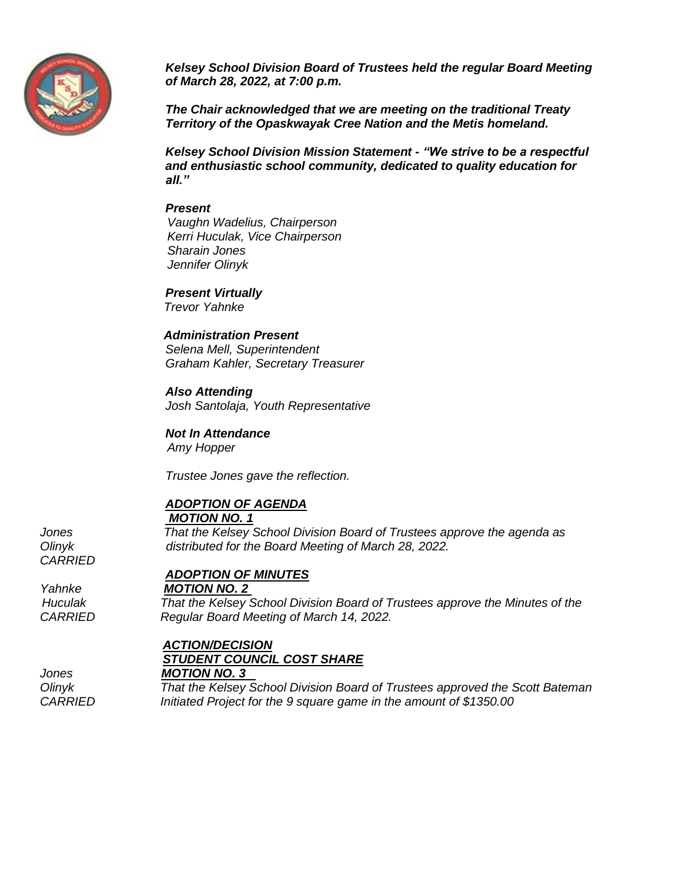

*Kelsey School Division Board of Trustees held the regular Board Meeting of March 28, 2022, at 7:00 p.m.*

*The Chair acknowledged that we are meeting on the traditional Treaty Territory of the Opaskwayak Cree Nation and the Metis homeland.*

*Kelsey School Division Mission Statement - "We strive to be a respectful and enthusiastic school community, dedicated to quality education for all."*

#### *Present*

 *Vaughn Wadelius, Chairperson Kerri Huculak, Vice Chairperson Sharain Jones Jennifer Olinyk*

*Present Virtually Trevor Yahnke* 

#### *Administration Present*

*Selena Mell, Superintendent Graham Kahler, Secretary Treasurer*

#### *Also Attending*

*Josh Santolaja, Youth Representative*

*Not In Attendance Amy Hopper*

*Trustee Jones gave the reflection.* 

# *ADOPTION OF AGENDA*

#### *MOTION NO. 1*

*Jones That the Kelsey School Division Board of Trustees approve the agenda as Olinyk distributed for the Board Meeting of March 28, 2022.*

## *ADOPTION OF MINUTES*

*Yahnke MOTION NO. 2* 

 *Huculak That the Kelsey School Division Board of Trustees approve the Minutes of the CARRIED Regular Board Meeting of March 14, 2022.* 

# *ACTION/DECISION STUDENT COUNCIL COST SHARE*

*Jones MOTION NO. 3* 

*Olinyk That the Kelsey School Division Board of Trustees approved the Scott Bateman CARRIED Initiated Project for the 9 square game in the amount of \$1350.00* 

*CARRIED*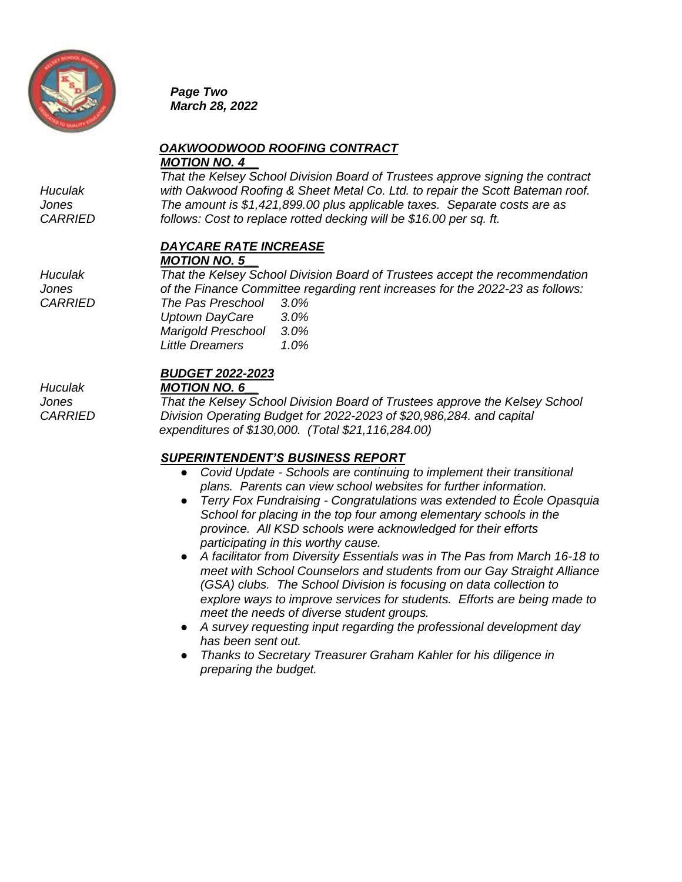

*Page Two March 28, 2022*

# *OAKWOODWOOD ROOFING CONTRACT MOTION NO. 4\_\_*

*That the Kelsey School Division Board of Trustees approve signing the contract Huculak with Oakwood Roofing & Sheet Metal Co. Ltd. to repair the Scott Bateman roof. Jones The amount is \$1,421,899.00 plus applicable taxes. Separate costs are as CARRIED follows: Cost to replace rotted decking will be \$16.00 per sq. ft.*

# *DAYCARE RATE INCREASE*

*MOTION NO. 5\_\_*

*Huculak That the Kelsey School Division Board of Trustees accept the recommendation Jones of the Finance Committee regarding rent increases for the 2022-23 as follows: CARRIED The Pas Preschool 3.0%*

| i në Pas Preschool    | 3.U% |
|-----------------------|------|
| <b>Uptown DayCare</b> | 3.0% |
| Marigold Preschool    | 3.0% |
| Little Dreamers       | 1.0% |
|                       |      |

# *BUDGET 2022-2023*

# *Huculak MOTION NO. 6\_\_*

*Jones That the Kelsey School Division Board of Trustees approve the Kelsey School CARRIED Division Operating Budget for 2022-2023 of \$20,986,284. and capital expenditures of \$130,000. (Total \$21,116,284.00)*

# *SUPERINTENDENT'S BUSINESS REPORT*

- *Covid Update - Schools are continuing to implement their transitional plans. Parents can view school websites for further information.*
- *Terry Fox Fundraising - Congratulations was extended to École Opasquia School for placing in the top four among elementary schools in the province. All KSD schools were acknowledged for their efforts participating in this worthy cause.*
- *A facilitator from Diversity Essentials was in The Pas from March 16-18 to meet with School Counselors and students from our Gay Straight Alliance (GSA) clubs. The School Division is focusing on data collection to explore ways to improve services for students. Efforts are being made to meet the needs of diverse student groups.*
- *A survey requesting input regarding the professional development day has been sent out.*
- *Thanks to Secretary Treasurer Graham Kahler for his diligence in preparing the budget.*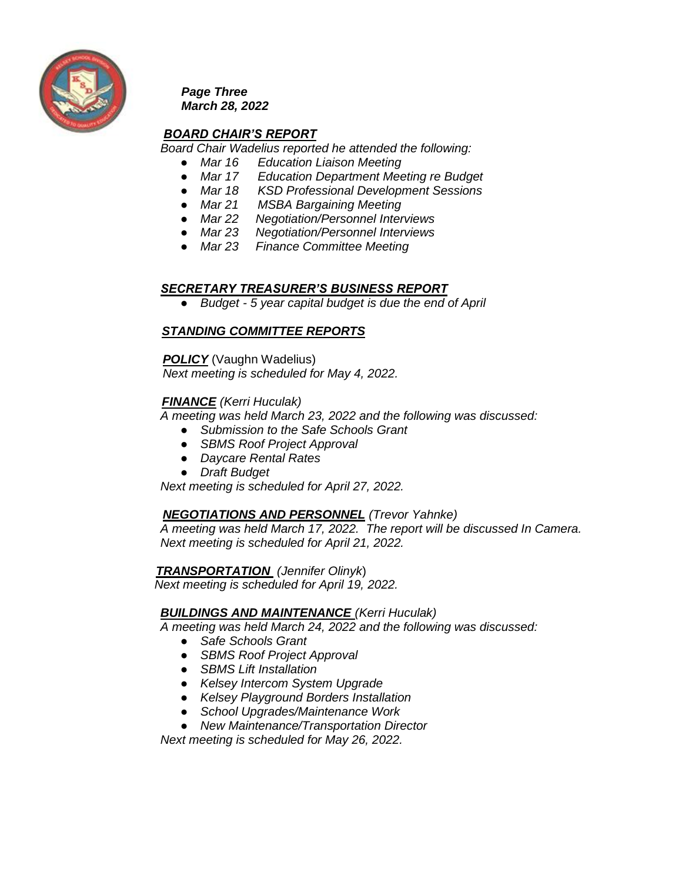

*Page Three March 28, 2022*

# *BOARD CHAIR'S REPORT*

*Board Chair Wadelius reported he attended the following:*

- *Mar 16 Education Liaison Meeting*
- *Mar 17 Education Department Meeting re Budget*
- *Mar 18 KSD Professional Development Sessions*
- *Mar 21 MSBA Bargaining Meeting*
- *Mar 22 Negotiation/Personnel Interviews*
- *Mar 23 Negotiation/Personnel Interviews*
- *Mar 23 Finance Committee Meeting*

## *SECRETARY TREASURER'S BUSINESS REPORT*

● *Budget - 5 year capital budget is due the end of April*

## *STANDING COMMITTEE REPORTS*

 *POLICY* (Vaughn Wadelius)  *Next meeting is scheduled for May 4, 2022.*

## *FINANCE (Kerri Huculak)*

*A meeting was held March 23, 2022 and the following was discussed:*

- *Submission to the Safe Schools Grant*
- *SBMS Roof Project Approval*
- *Daycare Rental Rates*
- *Draft Budget*

*Next meeting is scheduled for April 27, 2022.* 

## *NEGOTIATIONS AND PERSONNEL (Trevor Yahnke)*

*A meeting was held March 17, 2022. The report will be discussed In Camera. Next meeting is scheduled for April 21, 2022.* 

#### *TRANSPORTATION (Jennifer Olinyk*)

 *Next meeting is scheduled for April 19, 2022.* 

## *BUILDINGS AND MAINTENANCE (Kerri Huculak)*

 *A meeting was held March 24, 2022 and the following was discussed:*

- *Safe Schools Grant*
- *SBMS Roof Project Approval*
- *SBMS Lift Installation*
- *Kelsey Intercom System Upgrade*
- *Kelsey Playground Borders Installation*
- *School Upgrades/Maintenance Work*
- *New Maintenance/Transportation Director*

*Next meeting is scheduled for May 26, 2022.*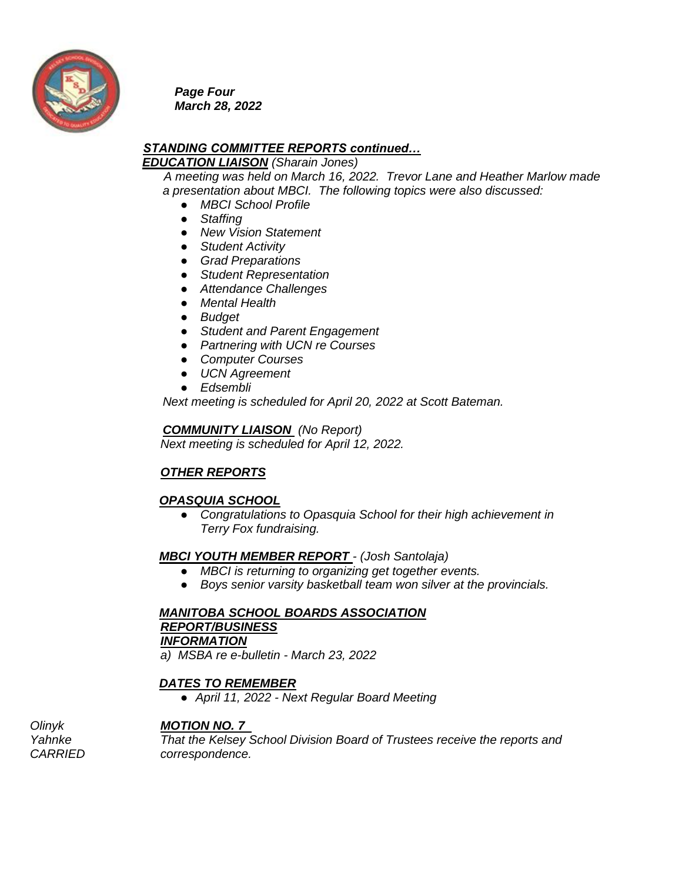

*Page Four March 28, 2022* 

#### *STANDING COMMITTEE REPORTS continued… EDUCATION LIAISON (Sharain Jones)*

 *A meeting was held on March 16, 2022. Trevor Lane and Heather Marlow made a presentation about MBCI. The following topics were also discussed:*

- *MBCI School Profile*
- *Staffing*
- *New Vision Statement*
- *Student Activity*
- *Grad Preparations*
- *Student Representation*
- *Attendance Challenges*
- *Mental Health*
- *Budget*
- *Student and Parent Engagement*
- *Partnering with UCN re Courses*
- *Computer Courses*
- *UCN Agreement*
- *Edsembli*

 *Next meeting is scheduled for April 20, 2022 at Scott Bateman.*

#### *COMMUNITY LIAISON (No Report)*

*Next meeting is scheduled for April 12, 2022.*

# *OTHER REPORTS*

## *OPASQUIA SCHOOL*

● *Congratulations to Opasquia School for their high achievement in Terry Fox fundraising.*

## *MBCI YOUTH MEMBER REPORT - (Josh Santolaja)*

- *MBCI is returning to organizing get together events.*
- *Boys senior varsity basketball team won silver at the provincials.*

 *MANITOBA SCHOOL BOARDS ASSOCIATION REPORT/BUSINESS INFORMATION*

*a) MSBA re e-bulletin - March 23, 2022* 

## *DATES TO REMEMBER*

● *April 11, 2022 - Next Regular Board Meeting* 

## *Olinyk MOTION NO. 7*

*Yahnke That the Kelsey School Division Board of Trustees receive the reports and CARRIED correspondence.*